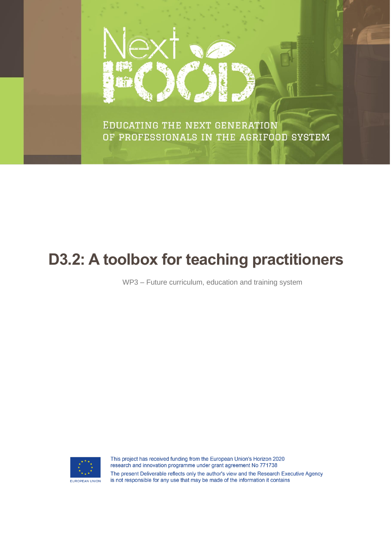

EDUCATING THE NEXT GENERATION OF PROFESSIONALS IN THE AGRIFOOD SYSTEM

# **D3.2: A toolbox for teaching practitioners**

WP3 – Future curriculum, education and training system



This project has received funding from the European Union's Horizon 2020 research and innovation programme under grant agreement No 771738 The present Deliverable reflects only the author's view and the Research Executive Agency is not responsible for any use that may be made of the information it contains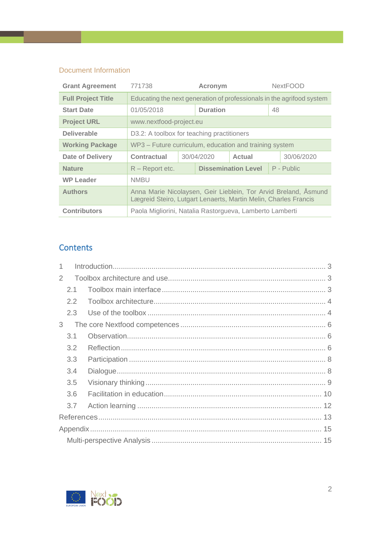## Document Information

| <b>Grant Agreement</b>    | 771738                                                                                                                             |            | Acronym         |                            | <b>NextFOOD</b> |            |  |
|---------------------------|------------------------------------------------------------------------------------------------------------------------------------|------------|-----------------|----------------------------|-----------------|------------|--|
| <b>Full Project Title</b> | Educating the next generation of professionals in the agrifood system                                                              |            |                 |                            |                 |            |  |
| <b>Start Date</b>         | 01/05/2018                                                                                                                         |            | <b>Duration</b> |                            | 48              |            |  |
| <b>Project URL</b>        | www.nextfood-project.eu                                                                                                            |            |                 |                            |                 |            |  |
| <b>Deliverable</b>        | D3.2: A toolbox for teaching practitioners                                                                                         |            |                 |                            |                 |            |  |
| <b>Working Package</b>    | WP3 - Future curriculum, education and training system                                                                             |            |                 |                            |                 |            |  |
| <b>Date of Delivery</b>   | Contractual                                                                                                                        | 30/04/2020 |                 | Actual                     |                 | 30/06/2020 |  |
| <b>Nature</b>             | $R$ – Report etc.                                                                                                                  |            |                 | <b>Dissemination Level</b> | P - Public      |            |  |
| <b>WP Leader</b>          | <b>NMBU</b>                                                                                                                        |            |                 |                            |                 |            |  |
| <b>Authors</b>            | Anna Marie Nicolaysen, Geir Lieblein, Tor Arvid Breland, Asmund<br>Lægreid Steiro, Lutgart Lenaerts, Martin Melin, Charles Francis |            |                 |                            |                 |            |  |
| <b>Contributors</b>       | Paola Migliorini, Natalia Rastorgueva, Lamberto Lamberti                                                                           |            |                 |                            |                 |            |  |

## **Contents**

| 2 |               |  |  |  |  |
|---|---------------|--|--|--|--|
|   | 2.1           |  |  |  |  |
|   | $2.2^{\circ}$ |  |  |  |  |
|   | 2.3           |  |  |  |  |
| 3 |               |  |  |  |  |
|   | 3.1           |  |  |  |  |
|   | 3.2           |  |  |  |  |
|   | 3.3           |  |  |  |  |
|   | 3.4           |  |  |  |  |
|   | 3.5           |  |  |  |  |
|   | 3.6           |  |  |  |  |
|   | 3.7           |  |  |  |  |
|   |               |  |  |  |  |
|   |               |  |  |  |  |
|   |               |  |  |  |  |

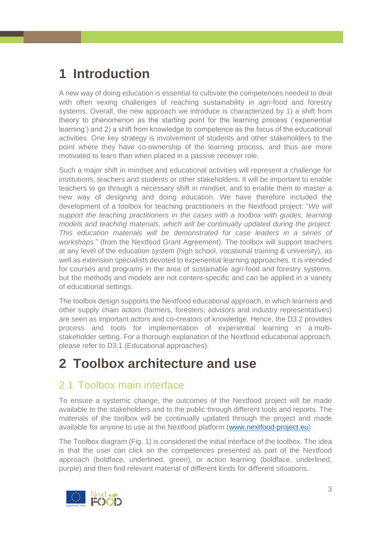# <span id="page-2-0"></span>**1 Introduction**

A new way of doing education is essential to cultivate the competences needed to deal with often vexing challenges of reaching sustainability in agri-food and forestry systems. Overall, the new approach we introduce is characterized by 1) a shift from theory to phenomenon as the starting point for the learning process ('experiential learning') and 2) a shift from knowledge to competence as the focus of the educational activities. One key strategy is involvement of students and other stakeholders to the point where they have co-ownership of the learning process, and thus are more motivated to learn than when placed in a passive receiver role.

Such a major shift in mindset and educational activities will represent a challenge for institutions, teachers and students or other stakeholders. It will be important to enable teachers to go through a necessary shift in mindset, and to enable them to master a new way of designing and doing education. We have therefore included the development of a toolbox for teaching practitioners in the Nextfood project: "*We will support the teaching practitioners in the cases with a toolbox with guides, learning models and teaching materials, which will be continually updated during the project. This education materials will be demonstrated for case leaders in a series of workshops.*" (from the Nextfood Grant Agreement). The toolbox will support teachers at any level of the education system (high school, vocational training & university), as well as extension specialists devoted to experiential learning approaches. It is intended for courses and programs in the area of sustainable agri-food and forestry systems, but the methods and models are not content-specific and can be applied in a variety of educational settings.

The toolbox design supports the Nextfood educational approach, in which learners and other supply chain actors (farmers, foresters, advisors and industry representatives) are seen as important actors and co-creators of knowledge. Hence, the D3.2 provides process and tools for implementation of experiential learning in a multistakeholder setting. For a thorough explanation of the Nextfood educational approach, please refer to D3.1 (Educational approaches).

# <span id="page-2-1"></span>**2 Toolbox architecture and use**

# <span id="page-2-2"></span>2.1 Toolbox main interface

To ensure a systemic change, the outcomes of the Nextfood project will be made available to the stakeholders and to the public through different tools and reports. The materials of the toolbox will be continually updated through the project and made available for anyone to use at the Nextfood platform [\(www.nextfood-project.eu\)](http://www.nextfood-project.eu/).

The Toolbox diagram (Fig. 1) is considered the initial interface of the toolbox. The idea is that the user can click on the competences presented as part of the Nextfood approach (boldface, underlined, green), or action learning (boldface, underlined, purple) and then find relevant material of different kinds for different situations.

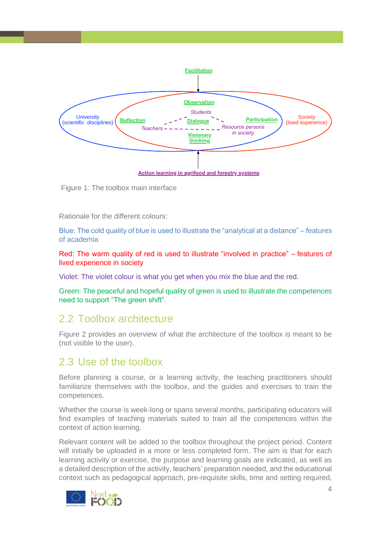

Figure 1: The toolbox main interface

Rationale for the different colours:

Blue: The cold quality of blue is used to illustrate the "analytical at a distance" – features of academia

Red: The warm quality of red is used to illustrate "involved in practice" – features of lived experience in society

Violet: The violet colour is what you get when you mix the blue and the red.

Green: The peaceful and hopeful quality of green is used to illustrate the competences need to support "The green shift".

# <span id="page-3-0"></span>2.2 Toolbox architecture

Figure 2 provides an overview of what the architecture of the toolbox is meant to be (not visible to the user).

## <span id="page-3-1"></span>2.3 Use of the toolbox

Before planning a course, or a learning activity, the teaching practitioners should familiarize themselves with the toolbox, and the guides and exercises to train the competences.

Whether the course is week-long or spans several months, participating educators will find examples of teaching materials suited to train all the competences within the context of action learning.

Relevant content will be added to the toolbox throughout the project period. Content will initially be uploaded in a more or less completed form. The aim is that for each learning activity or exercise, the purpose and learning goals are indicated, as well as a detailed description of the activity, teachers' preparation needed, and the educational context such as pedagogical approach, pre-requisite skills, time and setting required,

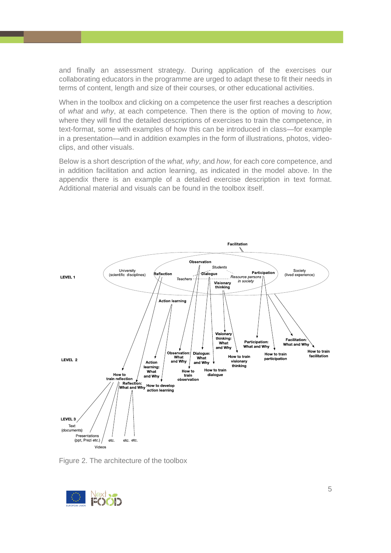and finally an assessment strategy. During application of the exercises our collaborating educators in the programme are urged to adapt these to fit their needs in terms of content, length and size of their courses, or other educational activities.

When in the toolbox and clicking on a competence the user first reaches a description of *what* and *why*, at each competence. Then there is the option of moving to *how*, where they will find the detailed descriptions of exercises to train the competence, in text-format, some with examples of how this can be introduced in class—for example in a presentation—and in addition examples in the form of illustrations, photos, videoclips, and other visuals.

Below is a short description of the *what, why*, and *how*, for each core competence, and in addition facilitation and action learning, as indicated in the model above. In the appendix there is an example of a detailed exercise description in text format. Additional material and visuals can be found in the toolbox itself.



Figure 2. The architecture of the toolbox

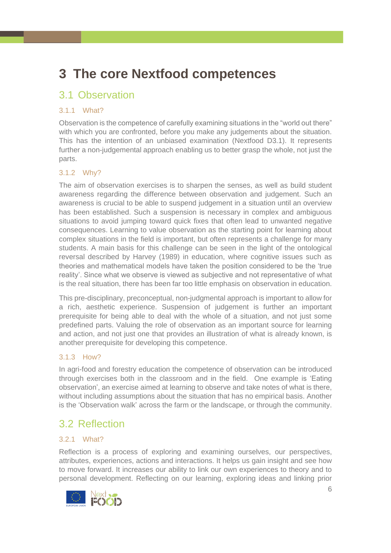# <span id="page-5-0"></span>**3 The core Nextfood competences**

# <span id="page-5-1"></span>3.1 Observation

### 3.1.1 What?

Observation is the competence of carefully examining situations in the "world out there" with which you are confronted, before you make any judgements about the situation. This has the intention of an unbiased examination (Nextfood D3.1). It represents further a non-judgemental approach enabling us to better grasp the whole, not just the parts.

### 3.1.2 Why?

The aim of observation exercises is to sharpen the senses, as well as build student awareness regarding the difference between observation and judgement. Such an awareness is crucial to be able to suspend judgement in a situation until an overview has been established. Such a suspension is necessary in complex and ambiguous situations to avoid jumping toward quick fixes that often lead to unwanted negative consequences. Learning to value observation as the starting point for learning about complex situations in the field is important, but often represents a challenge for many students. A main basis for this challenge can be seen in the light of the ontological reversal described by Harvey (1989) in education, where cognitive issues such as theories and mathematical models have taken the position considered to be the 'true reality'. Since what we observe is viewed as subjective and not representative of what is the real situation, there has been far too little emphasis on observation in education.

This pre-disciplinary, preconceptual, non-judgmental approach is important to allow for a rich, aesthetic experience. Suspension of judgement is further an important prerequisite for being able to deal with the whole of a situation, and not just some predefined parts. Valuing the role of observation as an important source for learning and action, and not just one that provides an illustration of what is already known, is another prerequisite for developing this competence.

### 3.1.3 How?

In agri-food and forestry education the competence of observation can be introduced through exercises both in the classroom and in the field. One example is 'Eating observation', an exercise aimed at learning to observe and take notes of what is there, without including assumptions about the situation that has no empirical basis. Another is the 'Observation walk' across the farm or the landscape, or through the community.

# <span id="page-5-2"></span>3.2 Reflection

### 3.2.1 What?

Reflection is a process of exploring and examining ourselves, our perspectives, attributes, experiences, actions and interactions. It helps us gain insight and see how to move forward. It increases our ability to link our own experiences to theory and to personal development. Reflecting on our learning, exploring ideas and linking prior

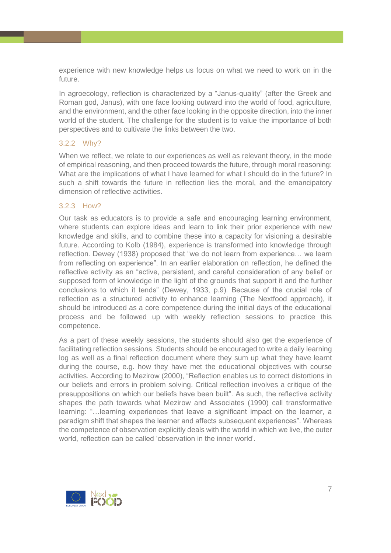experience with new knowledge helps us focus on what we need to work on in the future.

In agroecology, reflection is characterized by a "Janus-quality" (after the Greek and Roman god, Janus), with one face looking outward into the world of food, agriculture, and the environment, and the other face looking in the opposite direction, into the inner world of the student. The challenge for the student is to value the importance of both perspectives and to cultivate the links between the two.

#### 3.2.2 Why?

When we reflect, we relate to our experiences as well as relevant theory, in the mode of empirical reasoning, and then proceed towards the future, through moral reasoning: What are the implications of what I have learned for what I should do in the future? In such a shift towards the future in reflection lies the moral, and the emancipatory dimension of reflective activities.

#### 3.2.3 How?

Our task as educators is to provide a safe and encouraging learning environment, where students can explore ideas and learn to link their prior experience with new knowledge and skills, and to combine these into a capacity for visioning a desirable future. According to Kolb (1984), experience is transformed into knowledge through reflection. Dewey (1938) proposed that "we do not learn from experience… we learn from reflecting on experience". In an earlier elaboration on reflection, he defined the reflective activity as an "active, persistent, and careful consideration of any belief or supposed form of knowledge in the light of the grounds that support it and the further conclusions to which it tends" (Dewey, 1933, p.9). Because of the crucial role of reflection as a structured activity to enhance learning (The Nextfood approach), it should be introduced as a core competence during the initial days of the educational process and be followed up with weekly reflection sessions to practice this competence.

As a part of these weekly sessions, the students should also get the experience of facilitating reflection sessions. Students should be encouraged to write a daily learning log as well as a final reflection document where they sum up what they have learnt during the course, e.g. how they have met the educational objectives with course activities. According to Mezirow (2000), "Reflection enables us to correct distortions in our beliefs and errors in problem solving. Critical reflection involves a critique of the presuppositions on which our beliefs have been built". As such, the reflective activity shapes the path towards what Mezirow and Associates (1990) call transformative learning: "…learning experiences that leave a significant impact on the learner, a paradigm shift that shapes the learner and affects subsequent experiences". Whereas the competence of observation explicitly deals with the world in which we live, the outer world, reflection can be called 'observation in the inner world'.

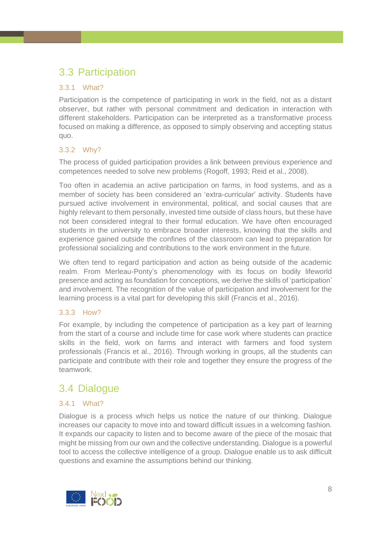# <span id="page-7-0"></span>3.3 Participation

### 3.3.1 What?

Participation is the competence of participating in work in the field, not as a distant observer, but rather with personal commitment and dedication in interaction with different stakeholders. Participation can be interpreted as a transformative process focused on making a difference, as opposed to simply observing and accepting status quo.

### 3.3.2 Why?

The process of guided participation provides a link between previous experience and competences needed to solve new problems (Rogoff, 1993; Reid et al., 2008).

Too often in academia an active participation on farms, in food systems, and as a member of society has been considered an 'extra-curricular' activity. Students have pursued active involvement in environmental, political, and social causes that are highly relevant to them personally, invested time outside of class hours, but these have not been considered integral to their formal education. We have often encouraged students in the university to embrace broader interests, knowing that the skills and experience gained outside the confines of the classroom can lead to preparation for professional socializing and contributions to the work environment in the future.

We often tend to regard participation and action as being outside of the academic realm. From Merleau-Ponty's phenomenology with its focus on bodily lifeworld presence and acting as foundation for conceptions, we derive the skills of 'participation' and involvement. The recognition of the value of participation and involvement for the learning process is a vital part for developing this skill (Francis et al., 2016).

### 3.3.3 How?

For example, by including the competence of participation as a key part of learning from the start of a course and include time for case work where students can practice skills in the field, work on farms and interact with farmers and food system professionals (Francis et al., 2016). Through working in groups, all the students can participate and contribute with their role and together they ensure the progress of the teamwork.

# <span id="page-7-1"></span>3.4 Dialogue

## 3.4.1 What?

Dialogue is a process which helps us notice the nature of our thinking. Dialogue increases our capacity to move into and toward difficult issues in a welcoming fashion. It expands our capacity to listen and to become aware of the piece of the mosaic that might be missing from our own and the collective understanding. Dialogue is a powerful tool to access the collective intelligence of a group. Dialogue enable us to ask difficult questions and examine the assumptions behind our thinking.

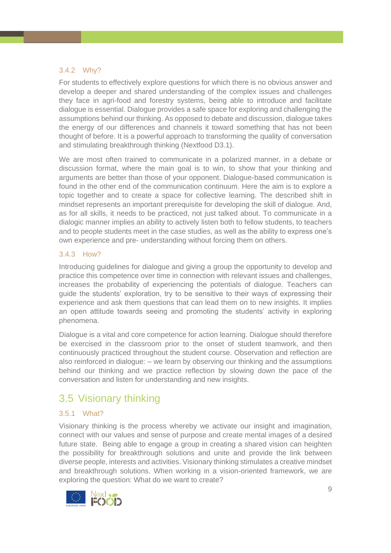#### 3.4.2 Why?

For students to effectively explore questions for which there is no obvious answer and develop a deeper and shared understanding of the complex issues and challenges they face in agri-food and forestry systems, being able to introduce and facilitate dialogue is essential. Dialogue provides a safe space for exploring and challenging the assumptions behind our thinking. As opposed to debate and discussion, dialogue takes the energy of our differences and channels it toward something that has not been thought of before. It is a powerful approach to transforming the quality of conversation and stimulating breakthrough thinking (Nextfood D3.1).

We are most often trained to communicate in a polarized manner, in a debate or discussion format, where the main goal is to win, to show that your thinking and arguments are better than those of your opponent. Dialogue-based communication is found in the other end of the communication continuum. Here the aim is to explore a topic together and to create a space for collective learning. The described shift in mindset represents an important prerequisite for developing the skill of dialogue. And, as for all skills, it needs to be practiced, not just talked about. To communicate in a dialogic manner implies an ability to actively listen both to fellow students, to teachers and to people students meet in the case studies, as well as the ability to express one's own experience and pre- understanding without forcing them on others.

#### 3.4.3 How?

Introducing guidelines for dialogue and giving a group the opportunity to develop and practice this competence over time in connection with relevant issues and challenges, increases the probability of experiencing the potentials of dialogue. Teachers can guide the students' exploration, try to be sensitive to their ways of expressing their experience and ask them questions that can lead them on to new insights. It implies an open attitude towards seeing and promoting the students' activity in exploring phenomena.

Dialogue is a vital and core competence for action learning. Dialogue should therefore be exercised in the classroom prior to the onset of student teamwork, and then continuously practiced throughout the student course. Observation and reflection are also reinforced in dialogue: – we learn by observing our thinking and the assumptions behind our thinking and we practice reflection by slowing down the pace of the conversation and listen for understanding and new insights.

# <span id="page-8-0"></span>3.5 Visionary thinking

#### 3.5.1 What?

Visionary thinking is the process whereby we activate our insight and imagination, connect with our values and sense of purpose and create mental images of a desired future state. Being able to engage a group in creating a shared vision can heighten the possibility for breakthrough solutions and unite and provide the link between diverse people, interests and activities. Visionary thinking stimulates a creative mindset and breakthrough solutions. When working in a vision-oriented framework, we are exploring the question: What do we want to create?

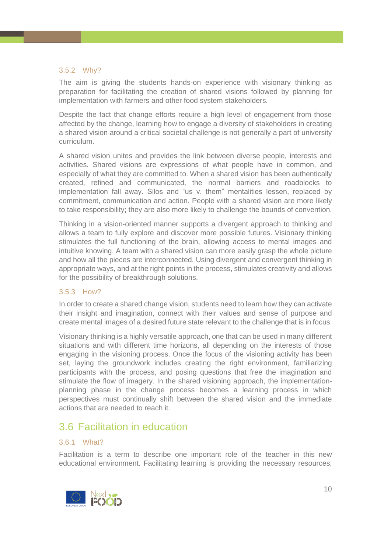#### 3.5.2 Why?

The aim is giving the students hands-on experience with visionary thinking as preparation for facilitating the creation of shared visions followed by planning for implementation with farmers and other food system stakeholders.

Despite the fact that change efforts require a high level of engagement from those affected by the change, learning how to engage a diversity of stakeholders in creating a shared vision around a critical societal challenge is not generally a part of university curriculum.

A shared vision unites and provides the link between diverse people, interests and activities. Shared visions are expressions of what people have in common, and especially of what they are committed to. When a shared vision has been authentically created, refined and communicated, the normal barriers and roadblocks to implementation fall away. Silos and "us v. them" mentalities lessen, replaced by commitment, communication and action. People with a shared vision are more likely to take responsibility; they are also more likely to challenge the bounds of convention.

Thinking in a vision-oriented manner supports a divergent approach to thinking and allows a team to fully explore and discover more possible futures. Visionary thinking stimulates the full functioning of the brain, allowing access to mental images and intuitive knowing. A team with a shared vision can more easily grasp the whole picture and how all the pieces are interconnected. Using divergent and convergent thinking in appropriate ways, and at the right points in the process, stimulates creativity and allows for the possibility of breakthrough solutions.

#### 3.5.3 How?

In order to create a shared change vision, students need to learn how they can activate their insight and imagination, connect with their values and sense of purpose and create mental images of a desired future state relevant to the challenge that is in focus.

Visionary thinking is a highly versatile approach, one that can be used in many different situations and with different time horizons, all depending on the interests of those engaging in the visioning process. Once the focus of the visioning activity has been set, laying the groundwork includes creating the right environment, familiarizing participants with the process, and posing questions that free the imagination and stimulate the flow of imagery. In the shared visioning approach, the implementationplanning phase in the change process becomes a learning process in which perspectives must continually shift between the shared vision and the immediate actions that are needed to reach it.

# <span id="page-9-0"></span>3.6 Facilitation in education

#### 3.6.1 What?

Facilitation is a term to describe one important role of the teacher in this new educational environment. Facilitating learning is providing the necessary resources,

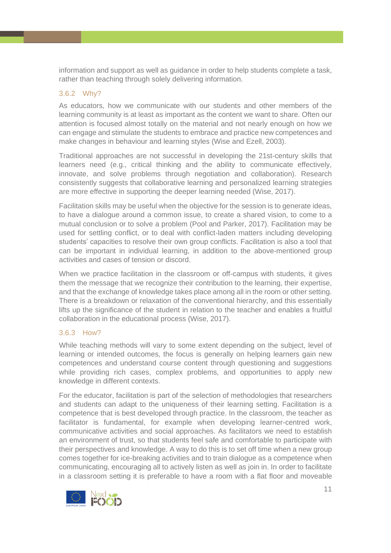information and support as well as guidance in order to help students complete a task, rather than teaching through solely delivering information.

#### 3.6.2 Why?

As educators, how we communicate with our students and other members of the learning community is at least as important as the content we want to share. Often our attention is focused almost totally on the material and not nearly enough on how we can engage and stimulate the students to embrace and practice new competences and make changes in behaviour and learning styles (Wise and Ezell, 2003).

Traditional approaches are not successful in developing the 21st-century skills that learners need (e.g., critical thinking and the ability to communicate effectively, innovate, and solve problems through negotiation and collaboration). Research consistently suggests that collaborative learning and personalized learning strategies are more effective in supporting the deeper learning needed (Wise, 2017).

Facilitation skills may be useful when the objective for the session is to generate ideas, to have a dialogue around a common issue, to create a shared vision, to come to a mutual conclusion or to solve a problem (Pool and Parker, 2017). Facilitation may be used for settling conflict, or to deal with conflict-laden matters including developing students' capacities to resolve their own group conflicts. Facilitation is also a tool that can be important in individual learning, in addition to the above-mentioned group activities and cases of tension or discord.

When we practice facilitation in the classroom or off-campus with students, it gives them the message that we recognize their contribution to the learning, their expertise, and that the exchange of knowledge takes place among all in the room or other setting. There is a breakdown or relaxation of the conventional hierarchy, and this essentially lifts up the significance of the student in relation to the teacher and enables a fruitful collaboration in the educational process (Wise, 2017).

#### 3.6.3 How?

While teaching methods will vary to some extent depending on the subject, level of learning or intended outcomes, the focus is generally on helping learners gain new competences and understand course content through questioning and suggestions while providing rich cases, complex problems, and opportunities to apply new knowledge in different contexts.

For the educator, facilitation is part of the selection of methodologies that researchers and students can adapt to the uniqueness of their learning setting. Facilitation is a competence that is best developed through practice. In the classroom, the teacher as facilitator is fundamental, for example when developing learner-centred work, communicative activities and social approaches. As facilitators we need to establish an environment of trust, so that students feel safe and comfortable to participate with their perspectives and knowledge. A way to do this is to set off time when a new group comes together for ice-breaking activities and to train dialogue as a competence when communicating, encouraging all to actively listen as well as join in. In order to facilitate in a classroom setting it is preferable to have a room with a flat floor and moveable

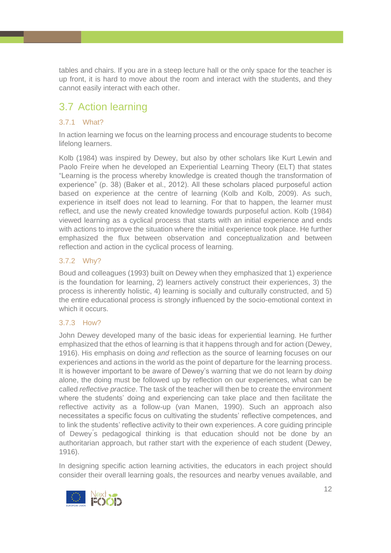tables and chairs. If you are in a steep lecture hall or the only space for the teacher is up front, it is hard to move about the room and interact with the students, and they cannot easily interact with each other.

# <span id="page-11-0"></span>3.7 Action learning

## 3.7.1 What?

In action learning we focus on the learning process and encourage students to become lifelong learners.

Kolb (1984) was inspired by Dewey, but also by other scholars like Kurt Lewin and Paolo Freire when he developed an Experiential Learning Theory (ELT) that states "Learning is the process whereby knowledge is created though the transformation of experience" (p. 38) (Baker et al., 2012). All these scholars placed purposeful action based on experience at the centre of learning (Kolb and Kolb, 2009). As such, experience in itself does not lead to learning. For that to happen, the learner must reflect, and use the newly created knowledge towards purposeful action. Kolb (1984) viewed learning as a cyclical process that starts with an initial experience and ends with actions to improve the situation where the initial experience took place. He further emphasized the flux between observation and conceptualization and between reflection and action in the cyclical process of learning.

### 3.7.2 Why?

Boud and colleagues (1993) built on Dewey when they emphasized that 1) experience is the foundation for learning, 2) learners actively construct their experiences, 3) the process is inherently holistic, 4) learning is socially and culturally constructed, and 5) the entire educational process is strongly influenced by the socio-emotional context in which it occurs.

### 3.7.3 How?

John Dewey developed many of the basic ideas for experiential learning. He further emphasized that the ethos of learning is that it happens through and for action (Dewey, 1916). His emphasis on doing *and* reflection as the source of learning focuses on our experiences and actions in the world as the point of departure for the learning process. It is however important to be aware of Dewey's warning that we do not learn by *doing*  alone, the doing must be followed up by reflection on our experiences, what can be called *reflective practice*. The task of the teacher will then be to create the environment where the students' doing and experiencing can take place and then facilitate the reflective activity as a follow-up (van Manen, 1990). Such an approach also necessitates a specific focus on cultivating the students' reflective competences, and to link the students' reflective activity to their own experiences. A core guiding principle of Dewey ́s pedagogical thinking is that education should not be done by an authoritarian approach, but rather start with the experience of each student (Dewey, 1916).

In designing specific action learning activities, the educators in each project should consider their overall learning goals, the resources and nearby venues available, and

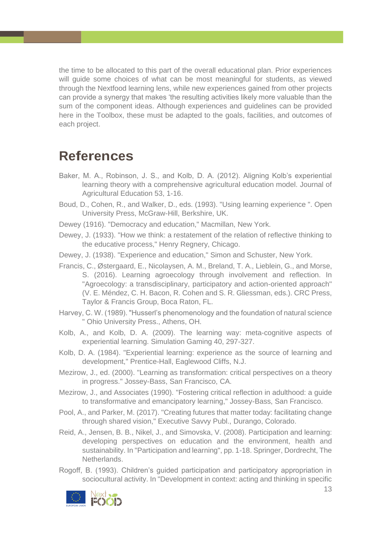the time to be allocated to this part of the overall educational plan. Prior experiences will guide some choices of what can be most meaningful for students, as viewed through the Nextfood learning lens, while new experiences gained from other projects can provide a synergy that makes 'the resulting activities likely more valuable than the sum of the component ideas. Although experiences and guidelines can be provided here in the Toolbox, these must be adapted to the goals, facilities, and outcomes of each project.

# <span id="page-12-0"></span>**References**

- Baker, M. A., Robinson, J. S., and Kolb, D. A. (2012). Aligning Kolb's experiential learning theory with a comprehensive agricultural education model. Journal of Agricultural Education 53, 1-16.
- Boud, D., Cohen, R., and Walker, D., eds. (1993). "Using learning experience ". Open University Press, McGraw-Hill, Berkshire, UK.
- Dewey (1916). "Democracy and education," Macmillan, New York.
- Dewey, J. (1933). "How we think: a restatement of the relation of reflective thinking to the educative process," Henry Regnery, Chicago.
- Dewey, J. (1938). "Experience and education," Simon and Schuster, New York.
- Francis, C., Østergaard, E., Nicolaysen, A. M., Breland, T. A., Lieblein, G., and Morse, S. (2016). Learning agroecology through involvement and reflection. In "Agroecology: a transdisciplinary, participatory and action-oriented approach" (V. E. Méndez, C. H. Bacon, R. Cohen and S. R. Gliessman, eds.). CRC Press, Taylor & Francis Group, Boca Raton, FL.
- Harvey, C. W. (1989). "Husserl's phenomenology and the foundation of natural science " Ohio University Press., Athens, OH.
- Kolb, A., and Kolb, D. A. (2009). The learning way: meta-cognitive aspects of experiential learning. Simulation Gaming 40, 297-327.
- Kolb, D. A. (1984). "Experiential learning: experience as the source of learning and development," Prentice-Hall, Eaglewood Cliffs, N.J.
- Mezirow, J., ed. (2000). "Learning as transformation: critical perspectives on a theory in progress." Jossey-Bass, San Francisco, CA.
- Mezirow, J., and Associates (1990). "Fostering critical reflection in adulthood: a guide to transformative and emancipatory learning," Jossey-Bass, San Francisco.
- Pool, A., and Parker, M. (2017). "Creating futures that matter today: facilitating change through shared vision," Executive Savvy Publ., Durango, Colorado.
- Reid, A., Jensen, B. B., Nikel, J., and Simovska, V. (2008). Participation and learning: developing perspectives on education and the environment, health and sustainability. In "Participation and learning", pp. 1-18. Springer, Dordrecht, The Netherlands.
- Rogoff, B. (1993). Children's guided participation and participatory appropriation in sociocultural activity. In "Development in context: acting and thinking in specific

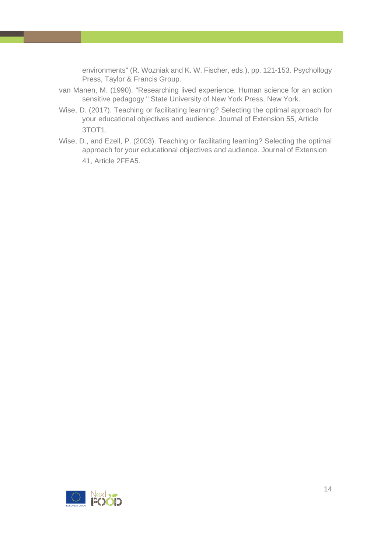environments" (R. Wozniak and K. W. Fischer, eds.), pp. 121-153. Psychollogy Press, Taylor & Francis Group.

- van Manen, M. (1990). "Researching lived experience. Human science for an action sensitive pedagogy " State University of New York Press, New York.
- Wise, D. (2017). Teaching or facilitating learning? Selecting the optimal approach for your educational objectives and audience. Journal of Extension 55, Article 3TOT1.
- Wise, D., and Ezell, P. (2003). Teaching or facilitating learning? Selecting the optimal approach for your educational objectives and audience. Journal of Extension 41, Article 2FEA5.

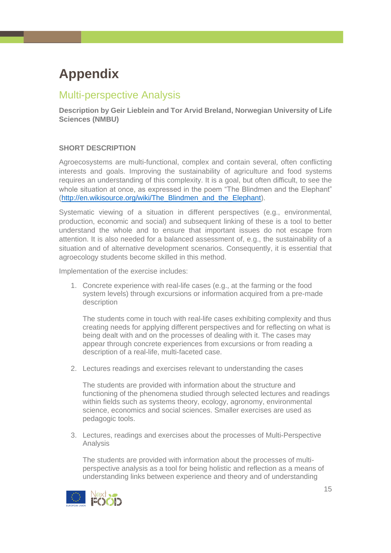# <span id="page-14-0"></span>**Appendix**

# <span id="page-14-1"></span>Multi-perspective Analysis

**Description by Geir Lieblein and Tor Arvid Breland, Norwegian University of Life Sciences (NMBU)**

#### **SHORT DESCRIPTION**

Agroecosystems are multi-functional, complex and contain several, often conflicting interests and goals. Improving the sustainability of agriculture and food systems requires an understanding of this complexity. It is a goal, but often difficult, to see the whole situation at once, as expressed in the poem "The Blindmen and the Elephant" [\(http://en.wikisource.org/wiki/The\\_Blindmen\\_and\\_the\\_Elephant\)](http://en.wikisource.org/wiki/The_Blindmen_and_the_Elephant).

Systematic viewing of a situation in different perspectives (e.g., environmental, production, economic and social) and subsequent linking of these is a tool to better understand the whole and to ensure that important issues do not escape from attention. It is also needed for a balanced assessment of, e.g., the sustainability of a situation and of alternative development scenarios. Consequently, it is essential that agroecology students become skilled in this method.

Implementation of the exercise includes:

1. Concrete experience with real-life cases (e.g., at the farming or the food system levels) through excursions or information acquired from a pre-made description

The students come in touch with real-life cases exhibiting complexity and thus creating needs for applying different perspectives and for reflecting on what is being dealt with and on the processes of dealing with it. The cases may appear through concrete experiences from excursions or from reading a description of a real-life, multi-faceted case.

2. Lectures readings and exercises relevant to understanding the cases

The students are provided with information about the structure and functioning of the phenomena studied through selected lectures and readings within fields such as systems theory, ecology, agronomy, environmental science, economics and social sciences. Smaller exercises are used as pedagogic tools.

3. Lectures, readings and exercises about the processes of Multi-Perspective Analysis

The students are provided with information about the processes of multiperspective analysis as a tool for being holistic and reflection as a means of understanding links between experience and theory and of understanding

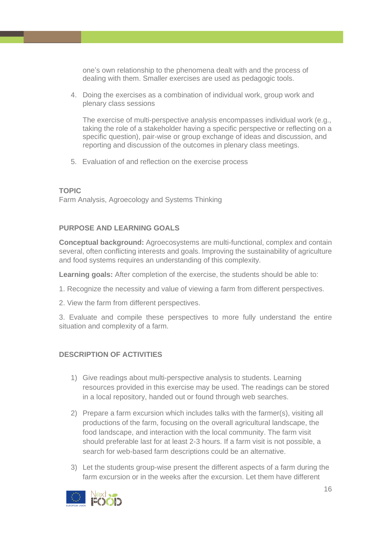one's own relationship to the phenomena dealt with and the process of dealing with them. Smaller exercises are used as pedagogic tools.

4. Doing the exercises as a combination of individual work, group work and plenary class sessions

The exercise of multi-perspective analysis encompasses individual work (e.g., taking the role of a stakeholder having a specific perspective or reflecting on a specific question), pair-wise or group exchange of ideas and discussion, and reporting and discussion of the outcomes in plenary class meetings.

5. Evaluation of and reflection on the exercise process

#### **TOPIC**

Farm Analysis, Agroecology and Systems Thinking

#### **PURPOSE AND LEARNING GOALS**

**Conceptual background:** Agroecosystems are multi-functional, complex and contain several, often conflicting interests and goals. Improving the sustainability of agriculture and food systems requires an understanding of this complexity.

**Learning goals:** After completion of the exercise, the students should be able to:

- 1. Recognize the necessity and value of viewing a farm from different perspectives.
- 2. View the farm from different perspectives.

3. Evaluate and compile these perspectives to more fully understand the entire situation and complexity of a farm.

#### **DESCRIPTION OF ACTIVITIES**

- 1) Give readings about multi-perspective analysis to students. Learning resources provided in this exercise may be used. The readings can be stored in a local repository, handed out or found through web searches.
- 2) Prepare a farm excursion which includes talks with the farmer(s), visiting all productions of the farm, focusing on the overall agricultural landscape, the food landscape, and interaction with the local community. The farm visit should preferable last for at least 2-3 hours. If a farm visit is not possible, a search for web-based farm descriptions could be an alternative.
- 3) Let the students group-wise present the different aspects of a farm during the farm excursion or in the weeks after the excursion. Let them have different

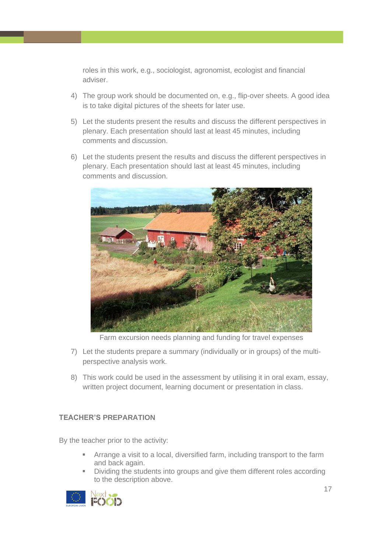roles in this work, e.g., sociologist, agronomist, ecologist and financial adviser.

- 4) The group work should be documented on, e.g., flip-over sheets. A good idea is to take digital pictures of the sheets for later use.
- 5) Let the students present the results and discuss the different perspectives in plenary. Each presentation should last at least 45 minutes, including comments and discussion.
- 6) Let the students present the results and discuss the different perspectives in plenary. Each presentation should last at least 45 minutes, including comments and discussion.



Farm excursion needs planning and funding for travel expenses

- 7) Let the students prepare a summary (individually or in groups) of the multiperspective analysis work.
- 8) This work could be used in the assessment by utilising it in oral exam, essay, written project document, learning document or presentation in class.

### **TEACHER'S PREPARATION**

By the teacher prior to the activity:

- Arrange a visit to a local, diversified farm, including transport to the farm and back again.
- Dividing the students into groups and give them different roles according to the description above.